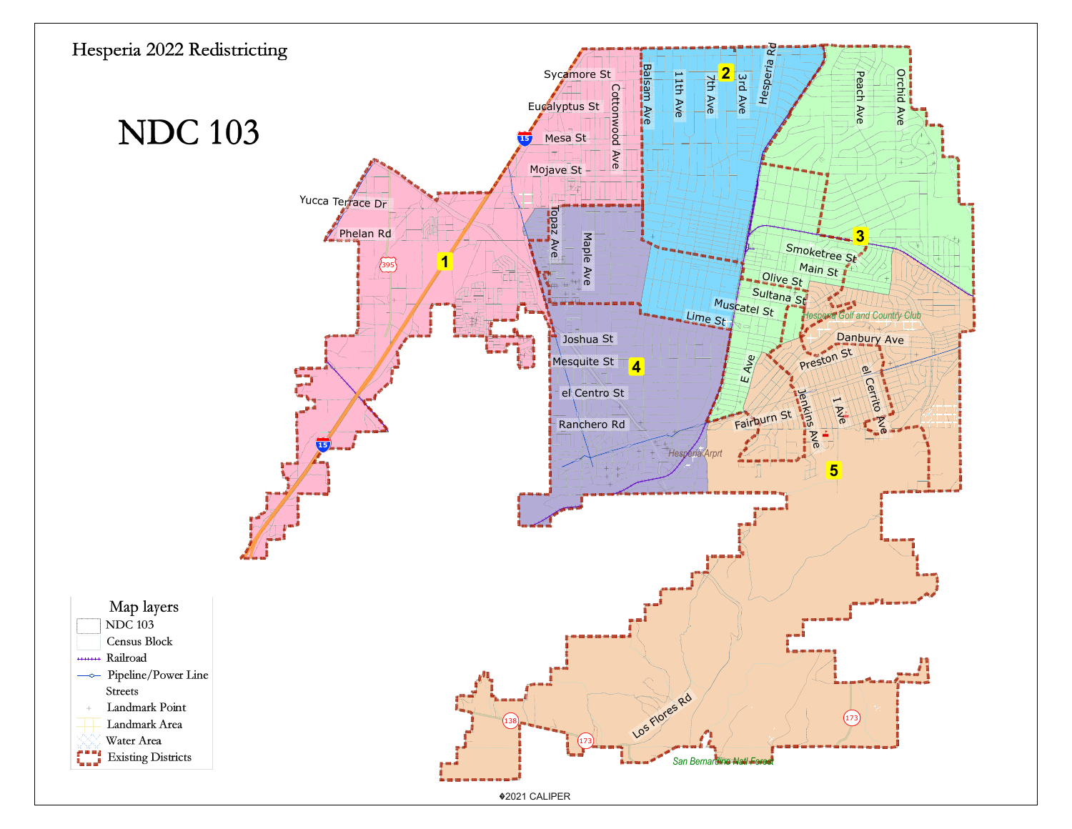